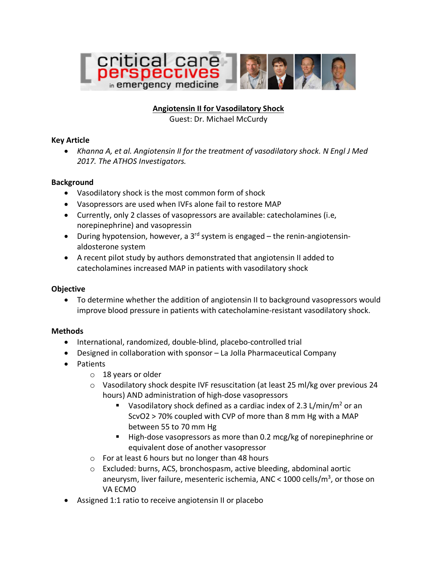

# **Angiotensin II for Vasodilatory Shock**

Guest: Dr. Michael McCurdy

#### **Key Article**

• *Khanna A, et al. Angiotensin II for the treatment of vasodilatory shock. N Engl J Med 2017. The ATHOS Investigators.*

#### **Background**

- Vasodilatory shock is the most common form of shock
- Vasopressors are used when IVFs alone fail to restore MAP
- Currently, only 2 classes of vasopressors are available: catecholamines (i.e, norepinephrine) and vasopressin
- During hypotension, however, a 3<sup>rd</sup> system is engaged the renin-angiotensinaldosterone system
- A recent pilot study by authors demonstrated that angiotensin II added to catecholamines increased MAP in patients with vasodilatory shock

# **Objective**

• To determine whether the addition of angiotensin II to background vasopressors would improve blood pressure in patients with catecholamine-resistant vasodilatory shock.

# **Methods**

- International, randomized, double-blind, placebo-controlled trial
- Designed in collaboration with sponsor La Jolla Pharmaceutical Company
- Patients
	- o 18 years or older
	- o Vasodilatory shock despite IVF resuscitation (at least 25 ml/kg over previous 24 hours) AND administration of high-dose vasopressors
		- **•** Vasodilatory shock defined as a cardiac index of 2.3 L/min/m<sup>2</sup> or an ScvO2 > 70% coupled with CVP of more than 8 mm Hg with a MAP between 55 to 70 mm Hg
		- High-dose vasopressors as more than 0.2 mcg/kg of norepinephrine or equivalent dose of another vasopressor
	- o For at least 6 hours but no longer than 48 hours
	- $\circ$  Excluded: burns, ACS, bronchospasm, active bleeding, abdominal aortic aneurysm, liver failure, mesenteric ischemia, ANC <  $1000$  cells/m<sup>3</sup>, or those on VA ECMO
- Assigned 1:1 ratio to receive angiotensin II or placebo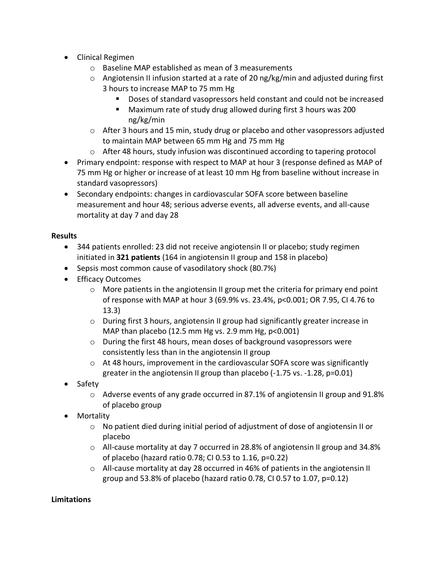- Clinical Regimen
	- o Baseline MAP established as mean of 3 measurements
	- o Angiotensin II infusion started at a rate of 20 ng/kg/min and adjusted during first 3 hours to increase MAP to 75 mm Hg
		- Doses of standard vasopressors held constant and could not be increased
		- Maximum rate of study drug allowed during first 3 hours was 200 ng/kg/min
	- $\circ$  After 3 hours and 15 min, study drug or placebo and other vasopressors adjusted to maintain MAP between 65 mm Hg and 75 mm Hg
	- $\circ$  After 48 hours, study infusion was discontinued according to tapering protocol
- Primary endpoint: response with respect to MAP at hour 3 (response defined as MAP of 75 mm Hg or higher or increase of at least 10 mm Hg from baseline without increase in standard vasopressors)
- Secondary endpoints: changes in cardiovascular SOFA score between baseline measurement and hour 48; serious adverse events, all adverse events, and all-cause mortality at day 7 and day 28

# **Results**

- 344 patients enrolled: 23 did not receive angiotensin II or placebo; study regimen initiated in **321 patients** (164 in angiotensin II group and 158 in placebo)
- Sepsis most common cause of vasodilatory shock (80.7%)
- Efficacy Outcomes
	- $\circ$  More patients in the angiotensin II group met the criteria for primary end point of response with MAP at hour 3 (69.9% vs. 23.4%, p<0.001; OR 7.95, CI 4.76 to 13.3)
	- o During first 3 hours, angiotensin II group had significantly greater increase in MAP than placebo (12.5 mm Hg vs. 2.9 mm Hg, p<0.001)
	- o During the first 48 hours, mean doses of background vasopressors were consistently less than in the angiotensin II group
	- $\circ$  At 48 hours, improvement in the cardiovascular SOFA score was significantly greater in the angiotensin II group than placebo (-1.75 vs. -1.28, p=0.01)
- Safety
	- $\circ$  Adverse events of any grade occurred in 87.1% of angiotensin II group and 91.8% of placebo group
- Mortality
	- $\circ$  No patient died during initial period of adjustment of dose of angiotensin II or placebo
	- o All-cause mortality at day 7 occurred in 28.8% of angiotensin II group and 34.8% of placebo (hazard ratio 0.78; CI 0.53 to 1.16, p=0.22)
	- $\circ$  All-cause mortality at day 28 occurred in 46% of patients in the angiotensin II group and 53.8% of placebo (hazard ratio 0.78, CI 0.57 to 1.07, p=0.12)

# **Limitations**